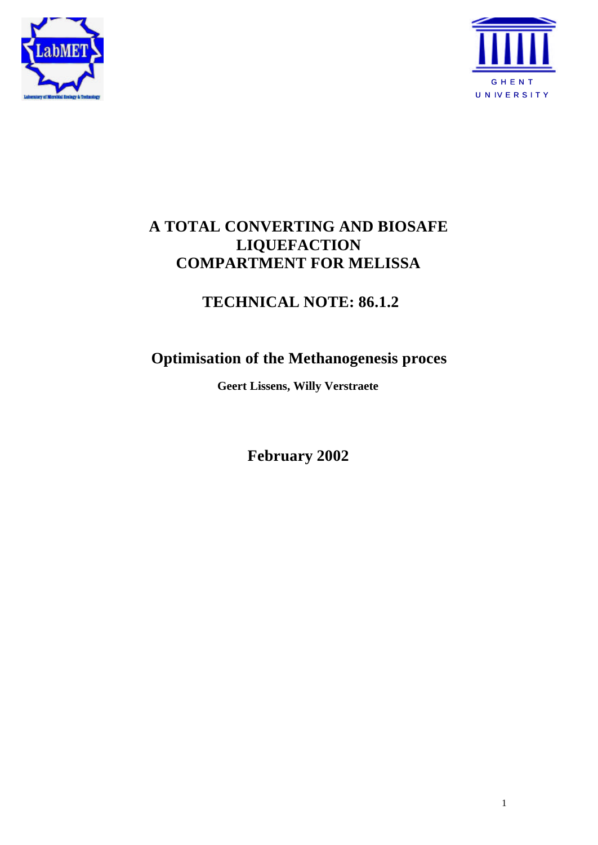



## **A TOTAL CONVERTING AND BIOSAFE LIQUEFACTION COMPARTMENT FOR MELISSA**

# **TECHNICAL NOTE: 86.1.2**

# **Optimisation of the Methanogenesis proces**

**Geert Lissens, Willy Verstraete**

**February 2002**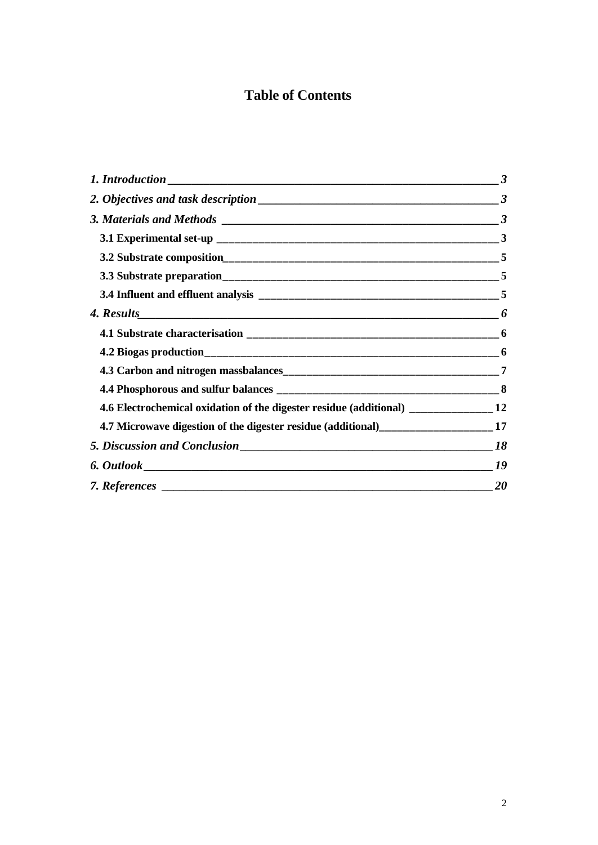## **Table of Contents**

|                                                                                      | $\boldsymbol{\beta}$ |
|--------------------------------------------------------------------------------------|----------------------|
|                                                                                      | $\boldsymbol{\beta}$ |
|                                                                                      |                      |
|                                                                                      |                      |
|                                                                                      |                      |
|                                                                                      |                      |
|                                                                                      |                      |
|                                                                                      |                      |
|                                                                                      |                      |
|                                                                                      |                      |
|                                                                                      |                      |
|                                                                                      |                      |
| 4.6 Electrochemical oxidation of the digester residue (additional) ______________ 12 |                      |
| 4.7 Microwave digestion of the digester residue (additional)____________________17   |                      |
|                                                                                      | 18                   |
|                                                                                      |                      |
|                                                                                      | 20                   |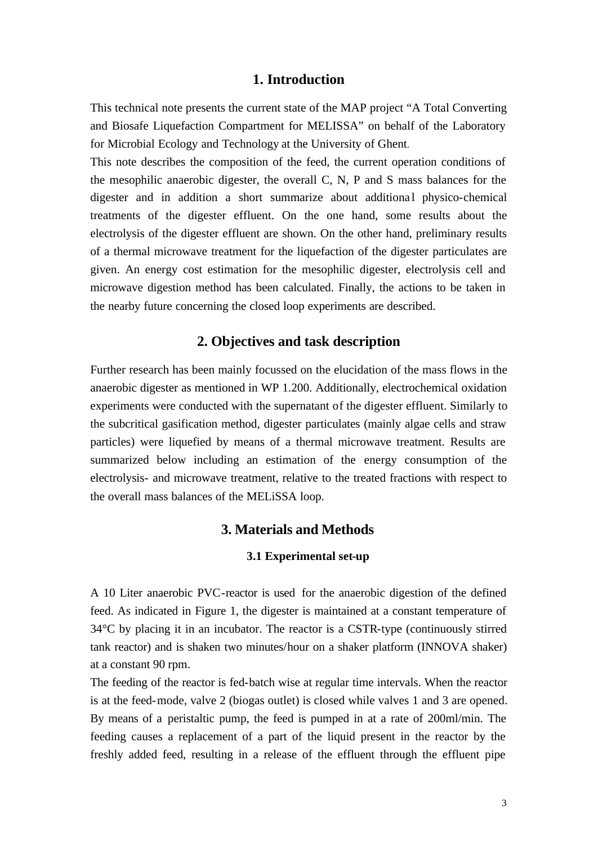### **1. Introduction**

This technical note presents the current state of the MAP project "A Total Converting and Biosafe Liquefaction Compartment for MELISSA" on behalf of the Laboratory for Microbial Ecology and Technology at the University of Ghent.

This note describes the composition of the feed, the current operation conditions of the mesophilic anaerobic digester, the overall C, N, P and S mass balances for the digester and in addition a short summarize about additional physico-chemical treatments of the digester effluent. On the one hand, some results about the electrolysis of the digester effluent are shown. On the other hand, preliminary results of a thermal microwave treatment for the liquefaction of the digester particulates are given. An energy cost estimation for the mesophilic digester, electrolysis cell and microwave digestion method has been calculated. Finally, the actions to be taken in the nearby future concerning the closed loop experiments are described.

## **2. Objectives and task description**

Further research has been mainly focussed on the elucidation of the mass flows in the anaerobic digester as mentioned in WP 1.200. Additionally, electrochemical oxidation experiments were conducted with the supernatant of the digester effluent. Similarly to the subcritical gasification method, digester particulates (mainly algae cells and straw particles) were liquefied by means of a thermal microwave treatment. Results are summarized below including an estimation of the energy consumption of the electrolysis- and microwave treatment, relative to the treated fractions with respect to the overall mass balances of the MELiSSA loop.

## **3. Materials and Methods**

### **3.1 Experimental set-up**

A 10 Liter anaerobic PVC-reactor is used for the anaerobic digestion of the defined feed. As indicated in Figure 1, the digester is maintained at a constant temperature of 34°C by placing it in an incubator. The reactor is a CSTR-type (continuously stirred tank reactor) and is shaken two minutes/hour on a shaker platform (INNOVA shaker) at a constant 90 rpm.

The feeding of the reactor is fed-batch wise at regular time intervals. When the reactor is at the feed-mode, valve 2 (biogas outlet) is closed while valves 1 and 3 are opened. By means of a peristaltic pump, the feed is pumped in at a rate of 200ml/min. The feeding causes a replacement of a part of the liquid present in the reactor by the freshly added feed, resulting in a release of the effluent through the effluent pipe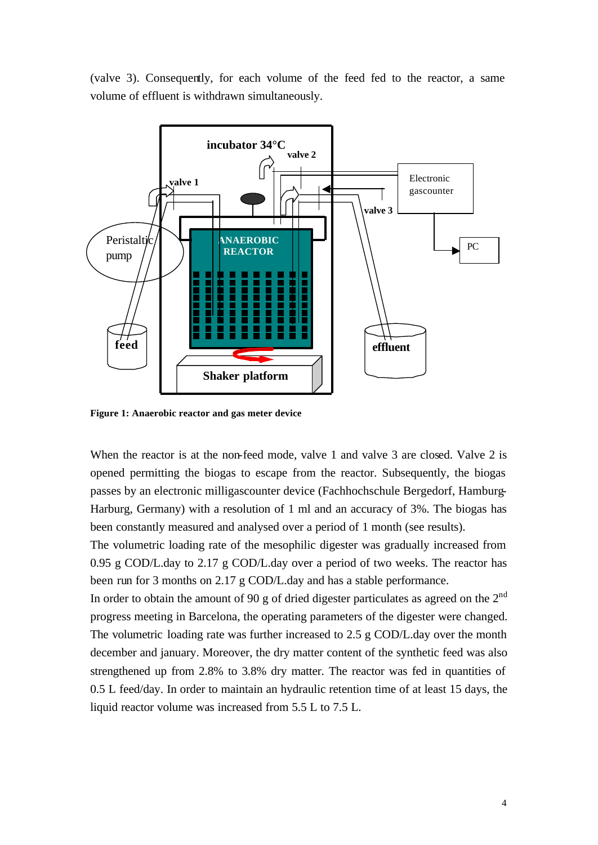(valve 3). Consequently, for each volume of the feed fed to the reactor, a same volume of effluent is withdrawn simultaneously.



**Figure 1: Anaerobic reactor and gas meter device**

When the reactor is at the non-feed mode, valve 1 and valve 3 are closed. Valve 2 is opened permitting the biogas to escape from the reactor. Subsequently, the biogas passes by an electronic milligascounter device (Fachhochschule Bergedorf, Hamburg-Harburg, Germany) with a resolution of 1 ml and an accuracy of 3%. The biogas has been constantly measured and analysed over a period of 1 month (see results).

The volumetric loading rate of the mesophilic digester was gradually increased from 0.95 g COD/L.day to 2.17 g COD/L.day over a period of two weeks. The reactor has been run for 3 months on 2.17 g COD/L.day and has a stable performance.

In order to obtain the amount of 90 g of dried digester particulates as agreed on the  $2<sup>nd</sup>$ progress meeting in Barcelona, the operating parameters of the digester were changed. The volumetric loading rate was further increased to 2.5 g COD/L.day over the month december and january. Moreover, the dry matter content of the synthetic feed was also strengthened up from 2.8% to 3.8% dry matter. The reactor was fed in quantities of 0.5 L feed/day. In order to maintain an hydraulic retention time of at least 15 days, the liquid reactor volume was increased from 5.5 L to 7.5 L.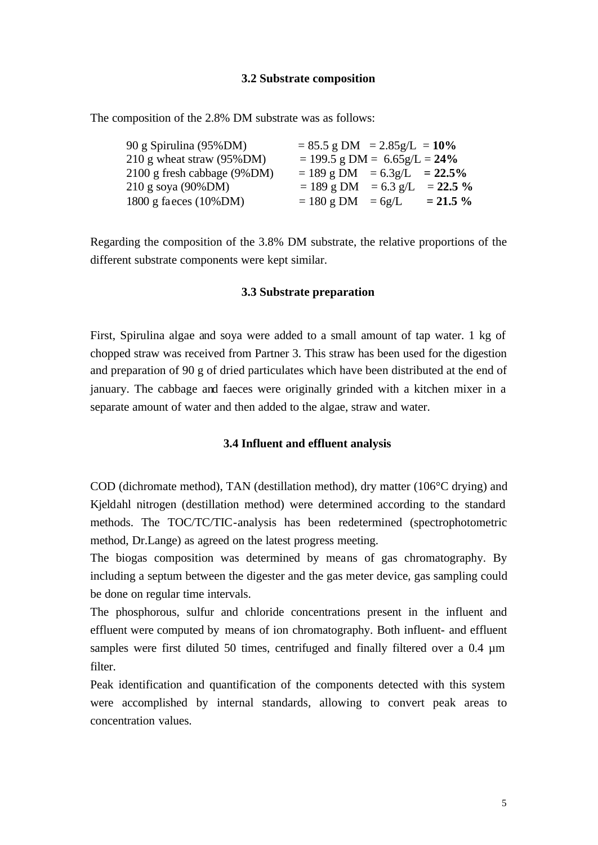#### **3.2 Substrate composition**

The composition of the 2.8% DM substrate was as follows:

| 90 g Spirulina (95%DM)               | $= 85.5$ g DM $= 2.85$ g/L $= 10\%$ |             |             |
|--------------------------------------|-------------------------------------|-------------|-------------|
| 210 g wheat straw $(95\% \text{DM})$ | $= 199.5$ g DM = 6.65g/L = 24%      |             |             |
| 2100 g fresh cabbage (9%DM)          | $= 189$ g DM $= 6.3$ g/L $= 22.5\%$ |             |             |
| $210$ g soya (90%DM)                 | $= 189$ g DM                        | $= 6.3$ g/L | $= 22.5 \%$ |
| 1800 g faeces $(10\%$ DM)            | $= 180$ g DM $= 6g/L$               |             | $= 21.5 \%$ |

Regarding the composition of the 3.8% DM substrate, the relative proportions of the different substrate components were kept similar.

#### **3.3 Substrate preparation**

First, Spirulina algae and soya were added to a small amount of tap water. 1 kg of chopped straw was received from Partner 3. This straw has been used for the digestion and preparation of 90 g of dried particulates which have been distributed at the end of january. The cabbage and faeces were originally grinded with a kitchen mixer in a separate amount of water and then added to the algae, straw and water.

#### **3.4 Influent and effluent analysis**

COD (dichromate method), TAN (destillation method), dry matter (106°C drying) and Kjeldahl nitrogen (destillation method) were determined according to the standard methods. The TOC/TC/TIC-analysis has been redetermined (spectrophotometric method, Dr.Lange) as agreed on the latest progress meeting.

The biogas composition was determined by means of gas chromatography. By including a septum between the digester and the gas meter device, gas sampling could be done on regular time intervals.

The phosphorous, sulfur and chloride concentrations present in the influent and effluent were computed by means of ion chromatography. Both influent- and effluent samples were first diluted 50 times, centrifuged and finally filtered over a 0.4  $\mu$ m filter.

Peak identification and quantification of the components detected with this system were accomplished by internal standards, allowing to convert peak areas to concentration values.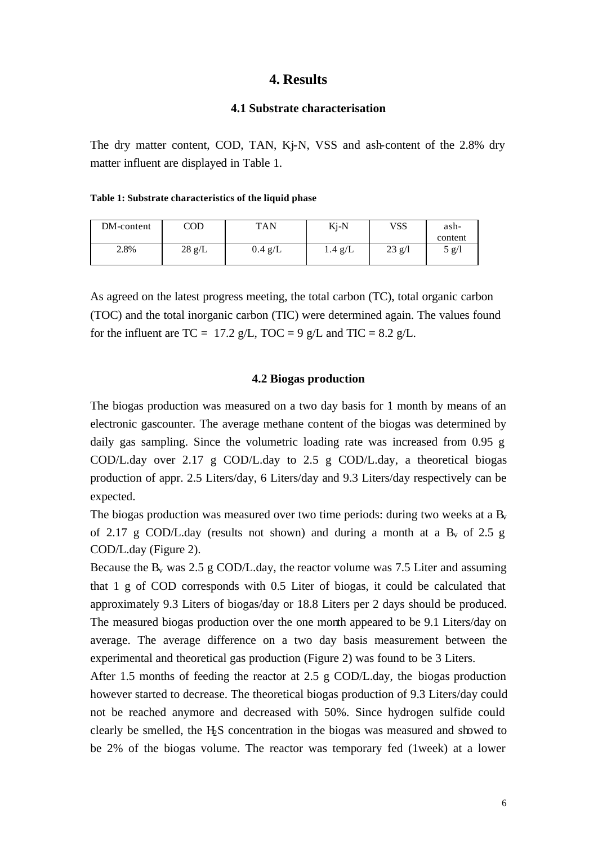## **4. Results**

#### **4.1 Substrate characterisation**

The dry matter content, COD, TAN, Kj-N, VSS and ash-content of the 2.8% dry matter influent are displayed in Table 1.

#### **Table 1: Substrate characteristics of the liquid phase**

| DM-content | $\mathop{\mathrm{COD}}$ | TAN               | Kj-N    | <b>VSS</b> | ash-    |
|------------|-------------------------|-------------------|---------|------------|---------|
|            |                         |                   |         |            | content |
| 2.8%       | $28 \text{ g/L}$        | $0.4 \text{ g/L}$ | 1.4~g/L | $23$ g/l   | 5 g/l   |
|            |                         |                   |         |            |         |

As agreed on the latest progress meeting, the total carbon (TC), total organic carbon (TOC) and the total inorganic carbon (TIC) were determined again. The values found for the influent are TC = 17.2 g/L, TOC = 9 g/L and TIC = 8.2 g/L.

#### **4.2 Biogas production**

The biogas production was measured on a two day basis for 1 month by means of an electronic gascounter. The average methane content of the biogas was determined by daily gas sampling. Since the volumetric loading rate was increased from 0.95 g COD/L.day over 2.17 g COD/L.day to 2.5 g COD/L.day, a theoretical biogas production of appr. 2.5 Liters/day, 6 Liters/day and 9.3 Liters/day respectively can be expected.

The biogas production was measured over two time periods: during two weeks at a  $B_v$ of 2.17 g COD/L.day (results not shown) and during a month at a  $B_v$  of 2.5 g COD/L.day (Figure 2).

Because the  $B_v$  was 2.5 g COD/L.day, the reactor volume was 7.5 Liter and assuming that 1 g of COD corresponds with 0.5 Liter of biogas, it could be calculated that approximately 9.3 Liters of biogas/day or 18.8 Liters per 2 days should be produced. The measured biogas production over the one month appeared to be 9.1 Liters/day on average. The average difference on a two day basis measurement between the experimental and theoretical gas production (Figure 2) was found to be 3 Liters.

After 1.5 months of feeding the reactor at 2.5 g COD/L.day, the biogas production however started to decrease. The theoretical biogas production of 9.3 Liters/day could not be reached anymore and decreased with 50%. Since hydrogen sulfide could clearly be smelled, the H2S concentration in the biogas was measured and showed to be 2% of the biogas volume. The reactor was temporary fed (1week) at a lower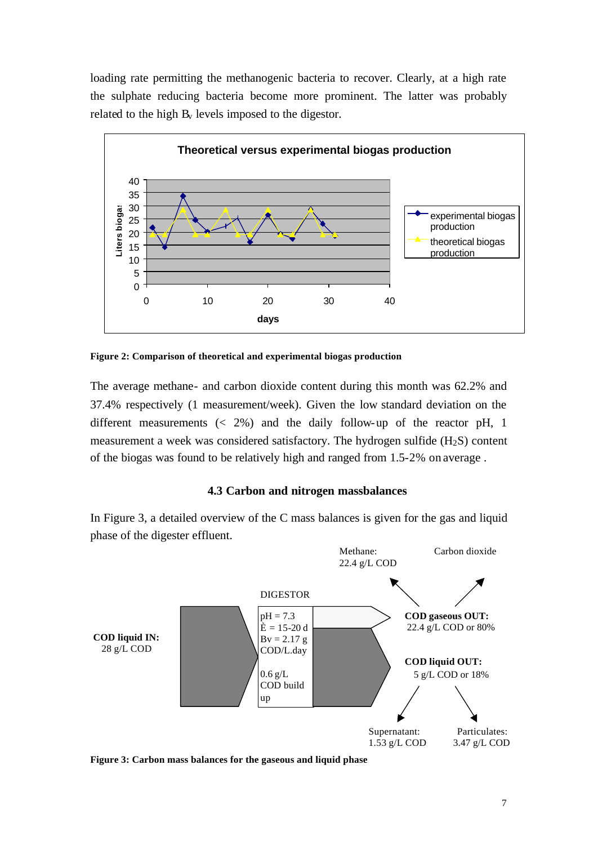loading rate permitting the methanogenic bacteria to recover. Clearly, at a high rate the sulphate reducing bacteria become more prominent. The latter was probably related to the high  $B_v$  levels imposed to the digestor.



**Figure 2: Comparison of theoretical and experimental biogas production**

The average methane- and carbon dioxide content during this month was 62.2% and 37.4% respectively (1 measurement/week). Given the low standard deviation on the different measurements  $\langle 2\% \rangle$  and the daily follow-up of the reactor pH, 1 measurement a week was considered satisfactory. The hydrogen sulfide  $(H_2S)$  content of the biogas was found to be relatively high and ranged from 1.5-2% on average .

## **4.3 Carbon and nitrogen massbalances**

In Figure 3, a detailed overview of the C mass balances is given for the gas and liquid phase of the digester effluent.



**Figure 3: Carbon mass balances for the gaseous and liquid phase**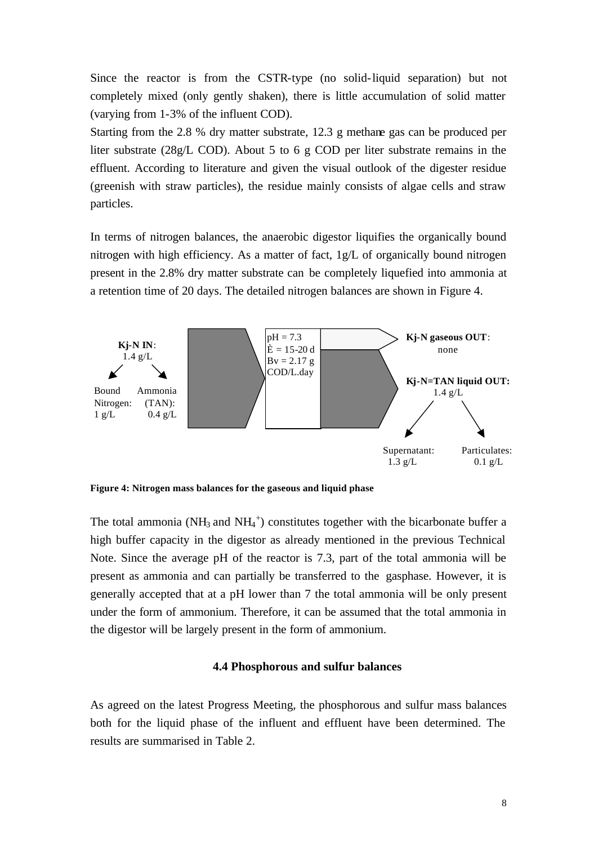Since the reactor is from the CSTR-type (no solid-liquid separation) but not completely mixed (only gently shaken), there is little accumulation of solid matter (varying from 1-3% of the influent COD).

Starting from the 2.8 % dry matter substrate, 12.3 g methane gas can be produced per liter substrate (28g/L COD). About 5 to 6 g COD per liter substrate remains in the effluent. According to literature and given the visual outlook of the digester residue (greenish with straw particles), the residue mainly consists of algae cells and straw particles.

In terms of nitrogen balances, the anaerobic digestor liquifies the organically bound nitrogen with high efficiency. As a matter of fact, 1g/L of organically bound nitrogen present in the 2.8% dry matter substrate can be completely liquefied into ammonia at a retention time of 20 days. The detailed nitrogen balances are shown in Figure 4.



**Figure 4: Nitrogen mass balances for the gaseous and liquid phase**

The total ammonia (NH<sub>3</sub> and NH<sub>4</sub><sup>+</sup>) constitutes together with the bicarbonate buffer a high buffer capacity in the digestor as already mentioned in the previous Technical Note. Since the average pH of the reactor is 7.3, part of the total ammonia will be present as ammonia and can partially be transferred to the gasphase. However, it is generally accepted that at a pH lower than 7 the total ammonia will be only present under the form of ammonium. Therefore, it can be assumed that the total ammonia in the digestor will be largely present in the form of ammonium.

#### **4.4 Phosphorous and sulfur balances**

As agreed on the latest Progress Meeting, the phosphorous and sulfur mass balances both for the liquid phase of the influent and effluent have been determined. The results are summarised in Table 2.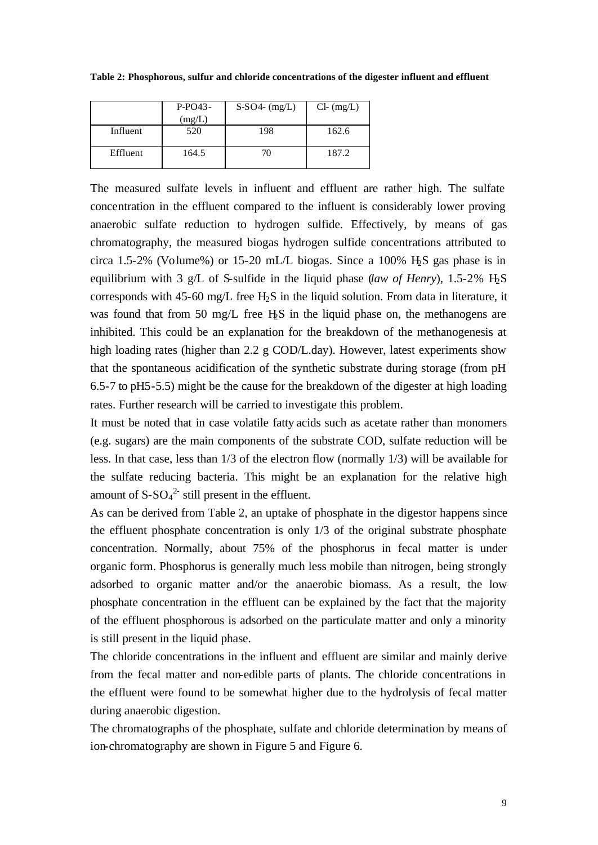**Table 2: Phosphorous, sulfur and chloride concentrations of the digester influent and effluent**

|          | $P-PO43-$ | $S-SO4-(mg/L)$ | $Cl-$ (mg/L) |
|----------|-----------|----------------|--------------|
|          | (mg/L)    |                |              |
| Influent | 520       | 198            | 162.6        |
| Effluent | 164.5     |                | 187.2        |

The measured sulfate levels in influent and effluent are rather high. The sulfate concentration in the effluent compared to the influent is considerably lower proving anaerobic sulfate reduction to hydrogen sulfide. Effectively, by means of gas chromatography, the measured biogas hydrogen sulfide concentrations attributed to circa 1.5-2% (Volume%) or 15-20 mL/L biogas. Since a 100% H $\overline{S}$  gas phase is in equilibrium with 3 g/L of S-sulfide in the liquid phase (*law of Henry*), 1.5-2% H2S corresponds with 45-60 mg/L free  $H_2S$  in the liquid solution. From data in literature, it was found that from 50 mg/L free H<sub>2</sub>S in the liquid phase on, the methanogens are inhibited. This could be an explanation for the breakdown of the methanogenesis at high loading rates (higher than 2.2 g COD/L.day). However, latest experiments show that the spontaneous acidification of the synthetic substrate during storage (from pH 6.5-7 to pH5-5.5) might be the cause for the breakdown of the digester at high loading rates. Further research will be carried to investigate this problem.

It must be noted that in case volatile fatty acids such as acetate rather than monomers (e.g. sugars) are the main components of the substrate COD, sulfate reduction will be less. In that case, less than 1/3 of the electron flow (normally 1/3) will be available for the sulfate reducing bacteria. This might be an explanation for the relative high amount of  $S-SO<sub>4</sub><sup>2</sup>$  still present in the effluent.

As can be derived from Table 2, an uptake of phosphate in the digestor happens since the effluent phosphate concentration is only 1/3 of the original substrate phosphate concentration. Normally, about 75% of the phosphorus in fecal matter is under organic form. Phosphorus is generally much less mobile than nitrogen, being strongly adsorbed to organic matter and/or the anaerobic biomass. As a result, the low phosphate concentration in the effluent can be explained by the fact that the majority of the effluent phosphorous is adsorbed on the particulate matter and only a minority is still present in the liquid phase.

The chloride concentrations in the influent and effluent are similar and mainly derive from the fecal matter and non-edible parts of plants. The chloride concentrations in the effluent were found to be somewhat higher due to the hydrolysis of fecal matter during anaerobic digestion.

The chromatographs of the phosphate, sulfate and chloride determination by means of ion-chromatography are shown in Figure 5 and Figure 6.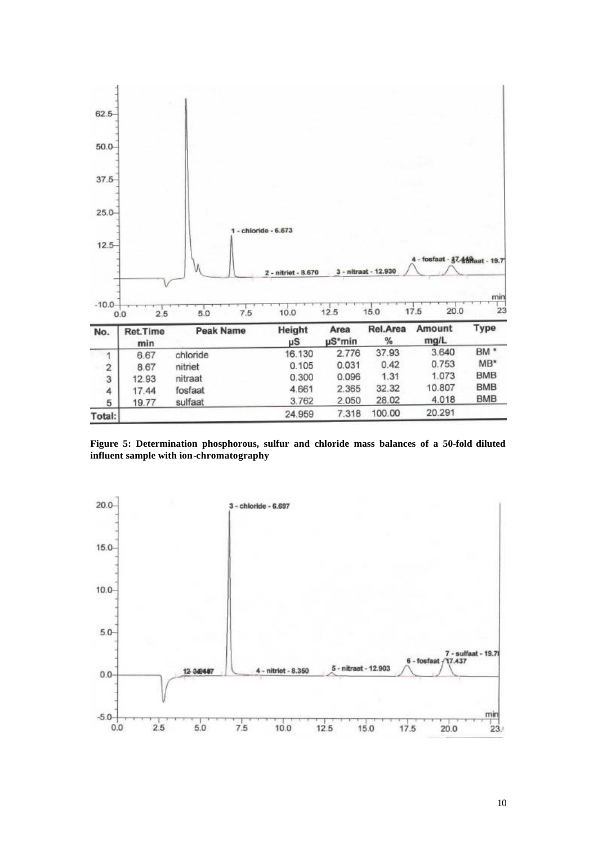

**Figure 5: Determination phosphorous, sulfur and chloride mass balances of a 50-fold diluted influent sample with ion-chromatography**

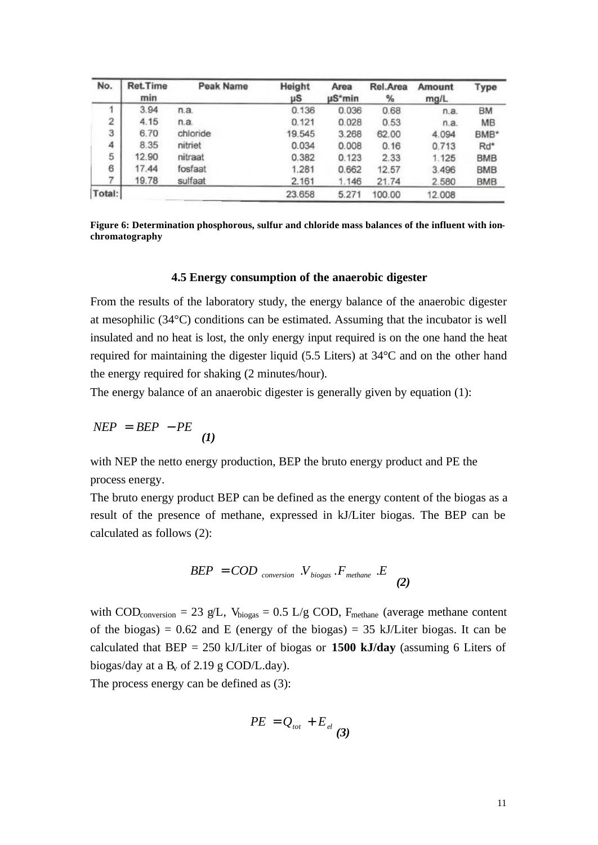| No.    | <b>Ret.Time</b><br>min | Peak Name | Height<br>μS | Area<br>µS*min | Rel.Area<br>% | <b>Amount</b><br>mg/L | Type             |
|--------|------------------------|-----------|--------------|----------------|---------------|-----------------------|------------------|
|        | 3.94                   | n.a.      | 0.136        | 0.036          | 0.68          | n.a.                  | BM               |
| 2      | 4.15                   | n.a.      | 0.121        | 0.028          | 0.53          | n.a.                  | MB               |
| 3      | 6.70                   | chloride  | 19.545       | 3.268          | 62.00         | 4.094                 | BMB <sup>*</sup> |
| 4      | 8.35                   | nitriet   | 0.034        | 0.008          | 0.16          | 0.713                 | Rd*              |
| 5      | 12.90                  | nitraat   | 0.382        | 0.123          | 2.33          | 1.125                 | <b>BMB</b>       |
| 6      | 17.44                  | fosfaat   | 1.281        | 0.662          | 12.57         | 3.496                 | <b>BMB</b>       |
|        | 19.78                  | sulfaat   | 2.161        | 1.146          | 21.74         | 2.580                 | <b>BMB</b>       |
| Total: |                        |           | 23.658       | 5.271          | 100.00        | 12.008                |                  |

**Figure 6: Determination phosphorous, sulfur and chloride mass balances of the influent with ionchromatography**

#### **4.5 Energy consumption of the anaerobic digester**

From the results of the laboratory study, the energy balance of the anaerobic digester at mesophilic (34°C) conditions can be estimated. Assuming that the incubator is well insulated and no heat is lost, the only energy input required is on the one hand the heat required for maintaining the digester liquid (5.5 Liters) at 34°C and on the other hand the energy required for shaking (2 minutes/hour).

The energy balance of an anaerobic digester is generally given by equation (1):

$$
NEP = BEP - PE \tag{1}
$$

with NEP the netto energy production, BEP the bruto energy product and PE the process energy.

The bruto energy product BEP can be defined as the energy content of the biogas as a result of the presence of methane, expressed in kJ/Liter biogas. The BEP can be calculated as follows (2):

$$
BEP = COD_{conversion} \, V_{biogas} \, F_{methane} \, E \tag{2}
$$

with COD<sub>conversion</sub> = 23 g/L,  $V_{\text{biogas}} = 0.5$  L/g COD,  $F_{\text{methane}}$  (average methane content of the biogas) =  $0.62$  and E (energy of the biogas) =  $35$  kJ/Liter biogas. It can be calculated that BEP = 250 kJ/Liter of biogas or **1500 kJ/day** (assuming 6 Liters of biogas/day at a  $B_v$  of 2.19 g COD/L.day).

The process energy can be defined as (3):

$$
PE = Q_{\text{tot}} + E_{\text{el}}(3)
$$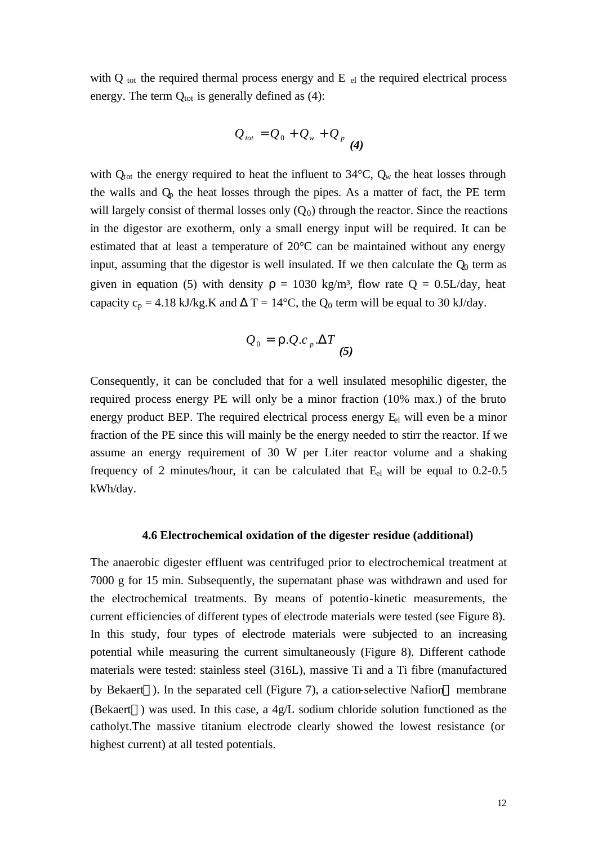with  $Q_{\text{tot}}$  the required thermal process energy and E  $_{el}$  the required electrical process energy. The term  $Q_{\text{tot}}$  is generally defined as (4):

$$
Q_{\text{tot}} = Q_0 + Q_w + Q_p
$$
 (4)

with  $Q_{\text{tot}}$  the energy required to heat the influent to 34 $\textdegree$ C,  $Q_w$  the heat losses through the walls and  $Q<sub>p</sub>$  the heat losses through the pipes. As a matter of fact, the PE term will largely consist of thermal losses only  $(Q_0)$  through the reactor. Since the reactions in the digestor are exotherm, only a small energy input will be required. It can be estimated that at least a temperature of 20°C can be maintained without any energy input, assuming that the digestor is well insulated. If we then calculate the  $Q<sub>0</sub>$  term as given in equation (5) with density  $\rho = 1030 \text{ kg/m}^3$ , flow rate  $Q = 0.5 \text{ L/day}$ , heat capacity  $c_p = 4.18 \text{ kJ/kg}$ .K and  $\Delta T = 14^{\circ}\text{C}$ , the  $Q_0$  term will be equal to 30 kJ/day.

$$
Q_0 = \mathbf{r} . Q . c_p . \Delta T \tag{5}
$$

Consequently, it can be concluded that for a well insulated mesophilic digester, the required process energy PE will only be a minor fraction (10% max.) of the bruto energy product BEP. The required electrical process energy  $E<sub>el</sub>$  will even be a minor fraction of the PE since this will mainly be the energy needed to stirr the reactor. If we assume an energy requirement of 30 W per Liter reactor volume and a shaking frequency of 2 minutes/hour, it can be calculated that Eel will be equal to 0.2-0.5 kWh/day.

#### **4.6 Electrochemical oxidation of the digester residue (additional)**

The anaerobic digester effluent was centrifuged prior to electrochemical treatment at 7000 g for 15 min. Subsequently, the supernatant phase was withdrawn and used for the electrochemical treatments. By means of potentio-kinetic measurements, the current efficiencies of different types of electrode materials were tested (see Figure 8). In this study, four types of electrode materials were subjected to an increasing potential while measuring the current simultaneously (Figure 8). Different cathode materials were tested: stainless steel (316L), massive Ti and a Ti fibre (manufactured by Bekaert®). In the separated cell (Figure 7), a cation-selective Nafion<sup>®</sup> membrane (Bekaert<sup>®</sup>) was used. In this case, a  $4g/L$  sodium chloride solution functioned as the catholyt.The massive titanium electrode clearly showed the lowest resistance (or highest current) at all tested potentials.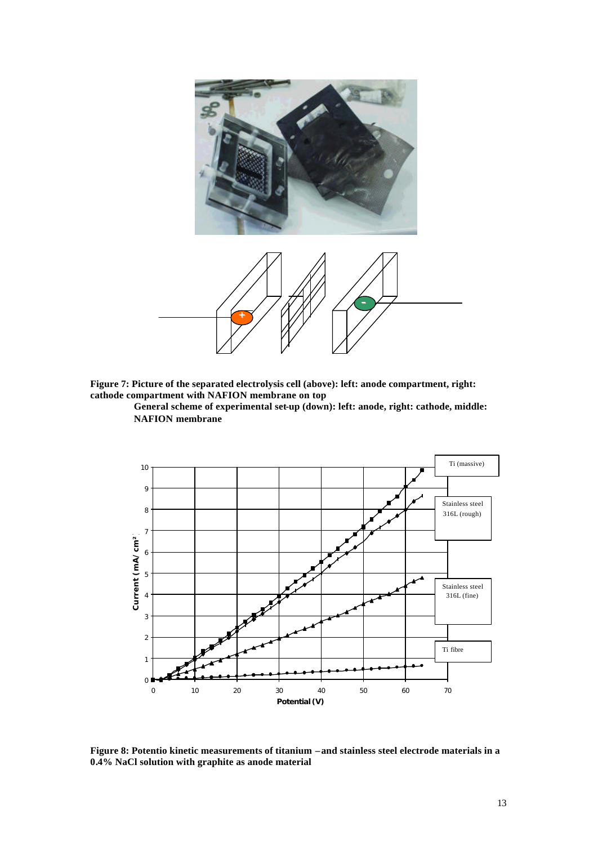

**Figure 7: Picture of the separated electrolysis cell (above): left: anode compartment, right: cathode compartment with NAFION membrane on top**

**General scheme of experimental set-up (down): left: anode, right: cathode, middle: NAFION membrane**



**Figure 8: Potentio kinetic measurements of titanium –and stainless steel electrode materials in a 0.4% NaCl solution with graphite as anode material**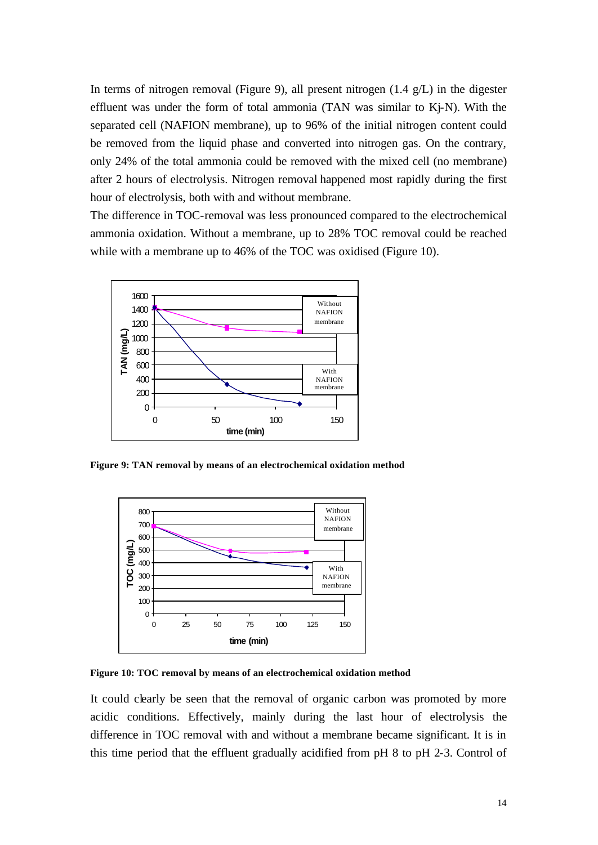In terms of nitrogen removal (Figure 9), all present nitrogen  $(1.4 \text{ g/L})$  in the digester effluent was under the form of total ammonia (TAN was similar to Kj-N). With the separated cell (NAFION membrane), up to 96% of the initial nitrogen content could be removed from the liquid phase and converted into nitrogen gas. On the contrary, only 24% of the total ammonia could be removed with the mixed cell (no membrane) after 2 hours of electrolysis. Nitrogen removal happened most rapidly during the first hour of electrolysis, both with and without membrane.

The difference in TOC-removal was less pronounced compared to the electrochemical ammonia oxidation. Without a membrane, up to 28% TOC removal could be reached while with a membrane up to 46% of the TOC was oxidised (Figure 10).



**Figure 9: TAN removal by means of an electrochemical oxidation method**



**Figure 10: TOC removal by means of an electrochemical oxidation method**

It could clearly be seen that the removal of organic carbon was promoted by more acidic conditions. Effectively, mainly during the last hour of electrolysis the difference in TOC removal with and without a membrane became significant. It is in this time period that the effluent gradually acidified from pH 8 to pH 2-3. Control of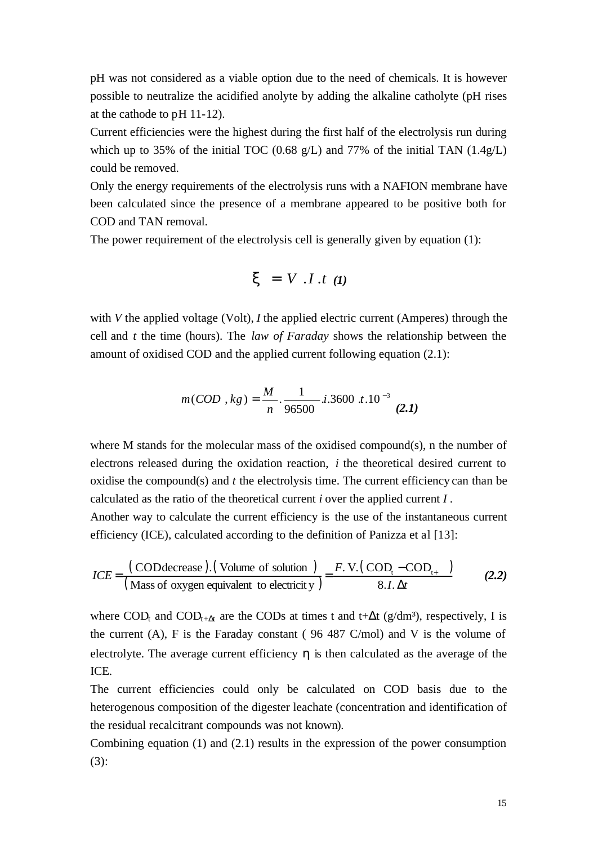pH was not considered as a viable option due to the need of chemicals. It is however possible to neutralize the acidified anolyte by adding the alkaline catholyte (pH rises at the cathode to pH 11-12).

Current efficiencies were the highest during the first half of the electrolysis run during which up to 35% of the initial TOC (0.68 g/L) and 77% of the initial TAN  $(1.4g/L)$ could be removed.

Only the energy requirements of the electrolysis runs with a NAFION membrane have been calculated since the presence of a membrane appeared to be positive both for COD and TAN removal.

The power requirement of the electrolysis cell is generally given by equation (1):

$$
\mathbf{x} = V \cdot I \cdot t \quad (1)
$$

with *V* the applied voltage (Volt), *I* the applied electric current (Amperes) through the cell and *t* the time (hours). The *law of Faraday* shows the relationship between the amount of oxidised COD and the applied current following equation (2.1):

$$
m(COD, kg) = \frac{M}{n} \cdot \frac{1}{96500} \cdot i \cdot 3600 \cdot t \cdot 10^{-3}
$$
 (2.1)

where M stands for the molecular mass of the oxidised compound(s), n the number of electrons released during the oxidation reaction, *i* the theoretical desired current to oxidise the compound(s) and *t* the electrolysis time. The current efficiency can than be calculated as the ratio of the theoretical current *i* over the applied current *I* .

Another way to calculate the current efficiency is the use of the instantaneous current efficiency (ICE), calculated according to the definition of Panizza et al [13]:

$$
ICE = \frac{(\text{COD} \cdot \text{CoD} \cdot \text{C} \cdot \text{C} \cdot \text{C} \cdot \text{C} \cdot \text{C} \cdot \text{C} \cdot \text{C} \cdot \text{C} \cdot \text{C} \cdot \text{C} \cdot \text{C} \cdot \text{C} \cdot \text{C} \cdot \text{C} \cdot \text{C} \cdot \text{C} \cdot \text{C} \cdot \text{C} \cdot \text{C} \cdot \text{C} \cdot \text{C} \cdot \text{C} \cdot \text{C} \cdot \text{C} \cdot \text{C} \cdot \text{C} \cdot \text{C} \cdot \text{C} \cdot \text{C} \cdot \text{C} \cdot \text{C} \cdot \text{C} \cdot \text{C} \cdot \text{C} \cdot \text{C} \cdot \text{C} \cdot \text{C} \cdot \text{C} \cdot \text{C} \cdot \text{C} \cdot \text{C} \cdot \text{C} \cdot \text{C} \cdot \text{C} \cdot \text{C} \cdot \text{C} \cdot \text{C} \cdot \text{C} \cdot \text{C} \cdot \text{C} \cdot \text{C} \cdot \text{C} \cdot \text{C} \cdot \text{C} \cdot \text{C} \cdot \text{C} \cdot \text{C} \cdot \text{C} \cdot \text{C} \cdot \text{C} \cdot \text{C} \cdot \text{C} \cdot \text{C} \cdot \text{C} \cdot \text{C} \cdot \text{C} \cdot \text{C} \cdot \text{C} \cdot \text{C} \cdot \text{C} \cdot \text{C} \cdot \text{C} \cdot \text{C} \cdot \text{C} \cdot \text{C} \cdot \text{C} \cdot \text{C} \cdot \text{C} \cdot \text{C} \cdot \text{C} \cdot \text{C} \cdot \text{C} \cdot \text{C} \cdot \text{C} \cdot \text{C} \cdot \text{C} \cdot \text{C} \cdot \text{C} \cdot \text{C} \cdot \text{C} \cdot \text{C} \cdot \text{C} \cdot \text{C} \cdot \text{C} \cdot \text{C} \cdot \text{C} \cdot \text{C} \cdot \text{C} \cdot \text{C} \cdot \text{C} \cdot \text{C} \cdot \text{C} \cdot \text{C} \cdot \text{C} \cdot \text{C} \cdot \text{
$$

where COD<sub>t</sub> and COD<sub>t+ $\Delta t$ </sub> are the CODs at times t and t+ $\Delta t$  (g/dm<sup>3</sup>), respectively, I is the current  $(A)$ , F is the Faraday constant (96 487 C/mol) and V is the volume of electrolyte. The average current efficiency  $\eta$  is then calculated as the average of the ICE.

The current efficiencies could only be calculated on COD basis due to the heterogenous composition of the digester leachate (concentration and identification of the residual recalcitrant compounds was not known).

Combining equation (1) and (2.1) results in the expression of the power consumption (3):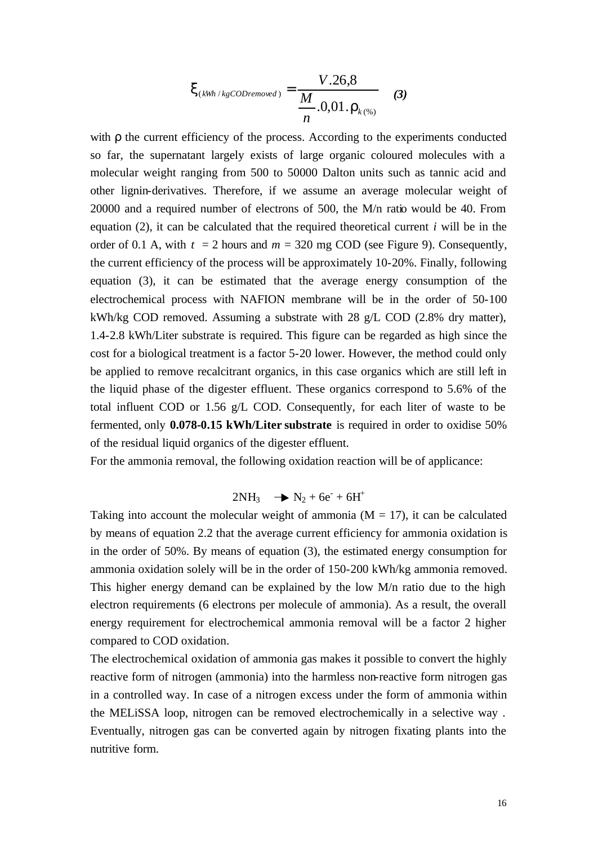$$
\mathbf{X}_{(kWh / kgCoDremoved}) = \frac{V.26,8}{\frac{M}{n}.0,01 \cdot \mathbf{r}_{k(96)}} \quad (3)
$$

with ρ the current efficiency of the process. According to the experiments conducted so far, the supernatant largely exists of large organic coloured molecules with a molecular weight ranging from 500 to 50000 Dalton units such as tannic acid and other lignin-derivatives. Therefore, if we assume an average molecular weight of 20000 and a required number of electrons of 500, the M/n ratio would be 40. From equation (2), it can be calculated that the required theoretical current *i* will be in the order of 0.1 A, with  $t = 2$  hours and  $m = 320$  mg COD (see Figure 9). Consequently, the current efficiency of the process will be approximately 10-20%. Finally, following equation (3), it can be estimated that the average energy consumption of the electrochemical process with NAFION membrane will be in the order of 50-100 kWh/kg COD removed. Assuming a substrate with 28 g/L COD (2.8% dry matter), 1.4-2.8 kWh/Liter substrate is required. This figure can be regarded as high since the cost for a biological treatment is a factor 5-20 lower. However, the method could only be applied to remove recalcitrant organics, in this case organics which are still left in the liquid phase of the digester effluent. These organics correspond to 5.6% of the total influent COD or 1.56 g/L COD. Consequently, for each liter of waste to be fermented, only **0.078-0.15 kWh/Liter substrate** is required in order to oxidise 50% of the residual liquid organics of the digester effluent.

For the ammonia removal, the following oxidation reaction will be of applicance:

$$
2NH_3 \quad \rightarrow N_2 + 6e^{\cdot} + 6H^+
$$

Taking into account the molecular weight of ammonia  $(M = 17)$ , it can be calculated by means of equation 2.2 that the average current efficiency for ammonia oxidation is in the order of 50%. By means of equation (3), the estimated energy consumption for ammonia oxidation solely will be in the order of 150-200 kWh/kg ammonia removed. This higher energy demand can be explained by the low M/n ratio due to the high electron requirements (6 electrons per molecule of ammonia). As a result, the overall energy requirement for electrochemical ammonia removal will be a factor 2 higher compared to COD oxidation.

The electrochemical oxidation of ammonia gas makes it possible to convert the highly reactive form of nitrogen (ammonia) into the harmless non-reactive form nitrogen gas in a controlled way. In case of a nitrogen excess under the form of ammonia within the MELiSSA loop, nitrogen can be removed electrochemically in a selective way . Eventually, nitrogen gas can be converted again by nitrogen fixating plants into the nutritive form.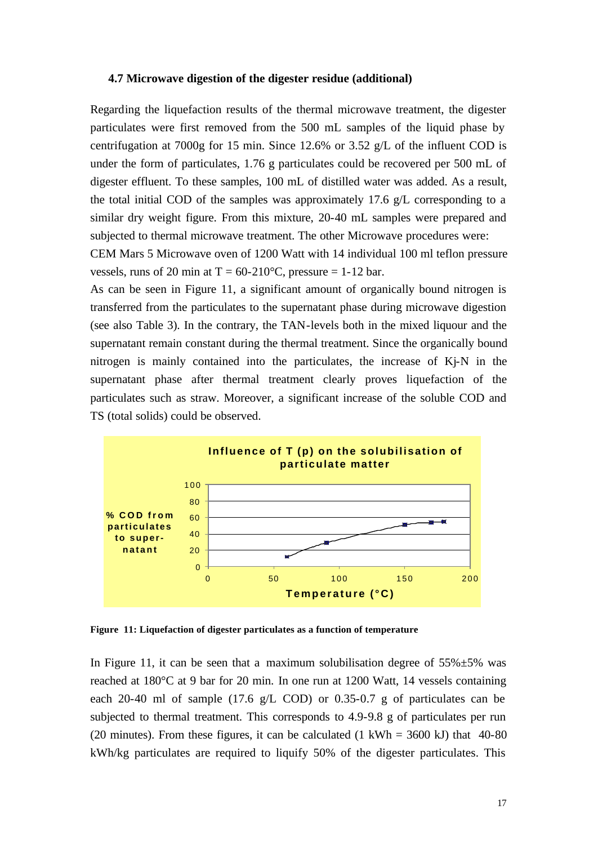#### **4.7 Microwave digestion of the digester residue (additional)**

Regarding the liquefaction results of the thermal microwave treatment, the digester particulates were first removed from the 500 mL samples of the liquid phase by centrifugation at 7000g for 15 min. Since 12.6% or 3.52 g/L of the influent COD is under the form of particulates, 1.76 g particulates could be recovered per 500 mL of digester effluent. To these samples, 100 mL of distilled water was added. As a result, the total initial COD of the samples was approximately 17.6 g/L corresponding to a similar dry weight figure. From this mixture, 20-40 mL samples were prepared and subjected to thermal microwave treatment. The other Microwave procedures were:

CEM Mars 5 Microwave oven of 1200 Watt with 14 individual 100 ml teflon pressure vessels, runs of 20 min at  $T = 60-210$ °C, pressure = 1-12 bar.

As can be seen in Figure 11, a significant amount of organically bound nitrogen is transferred from the particulates to the supernatant phase during microwave digestion (see also Table 3). In the contrary, the TAN-levels both in the mixed liquour and the supernatant remain constant during the thermal treatment. Since the organically bound nitrogen is mainly contained into the particulates, the increase of Kj-N in the supernatant phase after thermal treatment clearly proves liquefaction of the particulates such as straw. Moreover, a significant increase of the soluble COD and TS (total solids) could be observed.



**Figure 11: Liquefaction of digester particulates as a function of temperature**

In Figure 11, it can be seen that a maximum solubilisation degree of  $55\% \pm 5\%$  was reached at 180°C at 9 bar for 20 min. In one run at 1200 Watt, 14 vessels containing each 20-40 ml of sample (17.6 g/L COD) or 0.35-0.7 g of particulates can be subjected to thermal treatment. This corresponds to 4.9-9.8 g of particulates per run (20 minutes). From these figures, it can be calculated  $(1 \text{ kWh} = 3600 \text{ kJ})$  that 40-80 kWh/kg particulates are required to liquify 50% of the digester particulates. This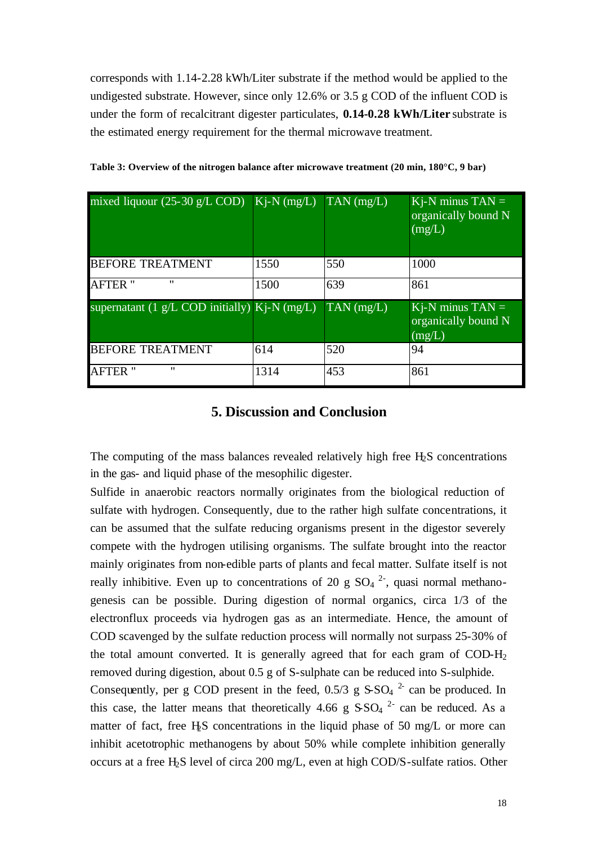corresponds with 1.14-2.28 kWh/Liter substrate if the method would be applied to the undigested substrate. However, since only 12.6% or 3.5 g COD of the influent COD is under the form of recalcitrant digester particulates, **0.14-0.28 kWh/Liter** substrate is the estimated energy requirement for the thermal microwave treatment.

| mixed liquour $(25\text{-}30 \text{ g/L } COD)$ K <sub>j</sub> -N (mg/L) |      | $\text{TAN (mg/L)}$ | $Ki-N$ minus $TAN =$<br>organically bound N<br>(mg/L) |
|--------------------------------------------------------------------------|------|---------------------|-------------------------------------------------------|
| <b>BEFORE TREATMENT</b>                                                  | 1550 | 550                 | 1000                                                  |
| <b>AFTER</b> "<br>$^{\prime\prime}$                                      | 1500 | 639                 | 861                                                   |
| supernatant $(1 g/L COD)$ initially) Kj-N (mg/L)                         |      | $TAN$ (mg/L)        | $Kj-N$ minus $TAN =$<br>organically bound N<br>(mg/L) |
| <b>BEFORE TREATMENT</b>                                                  | 614  | 520                 | 94                                                    |
| $^{\prime\prime}$<br><b>AFTER "</b>                                      | 1314 | 453                 | 861                                                   |

**Table 3: Overview of the nitrogen balance after microwave treatment (20 min, 180°C, 9 bar)**

## **5. Discussion and Conclusion**

The computing of the mass balances revealed relatively high free H<sub>2</sub>S concentrations in the gas- and liquid phase of the mesophilic digester.

Sulfide in anaerobic reactors normally originates from the biological reduction of sulfate with hydrogen. Consequently, due to the rather high sulfate concentrations, it can be assumed that the sulfate reducing organisms present in the digestor severely compete with the hydrogen utilising organisms. The sulfate brought into the reactor mainly originates from non-edible parts of plants and fecal matter. Sulfate itself is not really inhibitive. Even up to concentrations of 20 g  $SO_4$   $2$ , quasi normal methanogenesis can be possible. During digestion of normal organics, circa 1/3 of the electronflux proceeds via hydrogen gas as an intermediate. Hence, the amount of COD scavenged by the sulfate reduction process will normally not surpass 25-30% of the total amount converted. It is generally agreed that for each gram of  $\text{COD-H}_2$ removed during digestion, about 0.5 g of S-sulphate can be reduced into S-sulphide.

Consequently, per g COD present in the feed,  $0.5/3$  g  $S-SO<sub>4</sub>$ <sup>2</sup> can be produced. In this case, the latter means that theoretically 4.66 g  $SSO<sub>4</sub>$ <sup>2</sup> can be reduced. As a matter of fact, free H $S$  concentrations in the liquid phase of 50 mg/L or more can inhibit acetotrophic methanogens by about 50% while complete inhibition generally occurs at a free H2S level of circa 200 mg/L, even at high COD/S-sulfate ratios. Other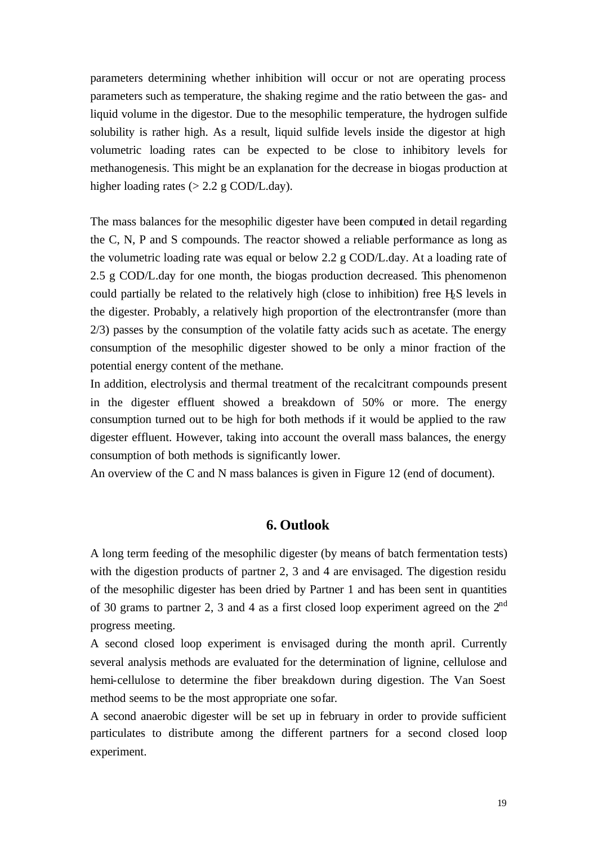parameters determining whether inhibition will occur or not are operating process parameters such as temperature, the shaking regime and the ratio between the gas- and liquid volume in the digestor. Due to the mesophilic temperature, the hydrogen sulfide solubility is rather high. As a result, liquid sulfide levels inside the digestor at high volumetric loading rates can be expected to be close to inhibitory levels for methanogenesis. This might be an explanation for the decrease in biogas production at higher loading rates ( $> 2.2$  g COD/L.day).

The mass balances for the mesophilic digester have been computed in detail regarding the C, N, P and S compounds. The reactor showed a reliable performance as long as the volumetric loading rate was equal or below 2.2 g COD/L.day. At a loading rate of 2.5 g COD/L.day for one month, the biogas production decreased. This phenomenon could partially be related to the relatively high (close to inhibition) free H2S levels in the digester. Probably, a relatively high proportion of the electrontransfer (more than 2/3) passes by the consumption of the volatile fatty acids such as acetate. The energy consumption of the mesophilic digester showed to be only a minor fraction of the potential energy content of the methane.

In addition, electrolysis and thermal treatment of the recalcitrant compounds present in the digester effluent showed a breakdown of 50% or more. The energy consumption turned out to be high for both methods if it would be applied to the raw digester effluent. However, taking into account the overall mass balances, the energy consumption of both methods is significantly lower.

An overview of the C and N mass balances is given in Figure 12 (end of document).

## **6. Outlook**

A long term feeding of the mesophilic digester (by means of batch fermentation tests) with the digestion products of partner 2, 3 and 4 are envisaged. The digestion residu of the mesophilic digester has been dried by Partner 1 and has been sent in quantities of 30 grams to partner 2, 3 and 4 as a first closed loop experiment agreed on the  $2<sup>nd</sup>$ progress meeting.

A second closed loop experiment is envisaged during the month april. Currently several analysis methods are evaluated for the determination of lignine, cellulose and hemi-cellulose to determine the fiber breakdown during digestion. The Van Soest method seems to be the most appropriate one sofar.

A second anaerobic digester will be set up in february in order to provide sufficient particulates to distribute among the different partners for a second closed loop experiment.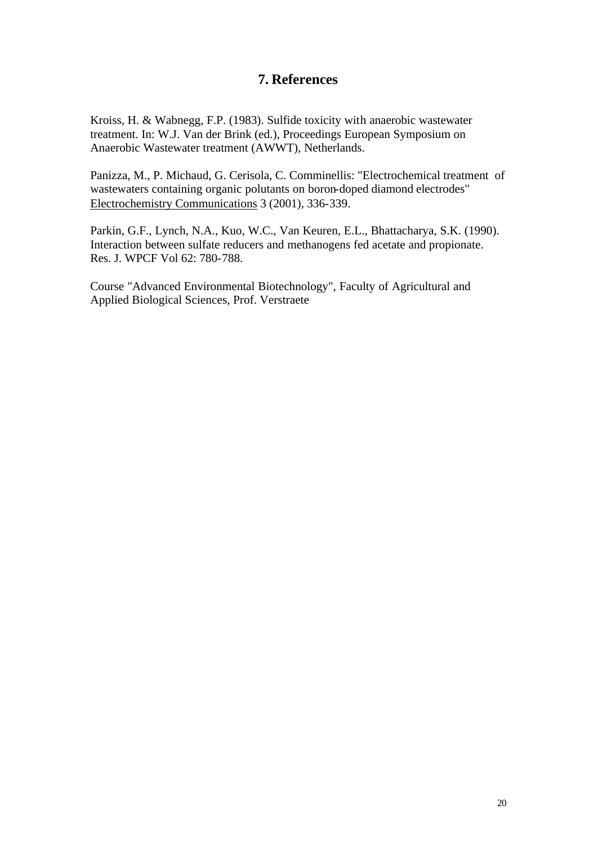## **7. References**

Kroiss, H. & Wabnegg, F.P. (1983). Sulfide toxicity with anaerobic wastewater treatment. In: W.J. Van der Brink (ed.), Proceedings European Symposium on Anaerobic Wastewater treatment (AWWT), Netherlands.

Panizza, M., P. Michaud, G. Cerisola, C. Comminellis: "Electrochemical treatment of wastewaters containing organic polutants on boron-doped diamond electrodes" Electrochemistry Communications 3 (2001), 336-339.

Parkin, G.F., Lynch, N.A., Kuo, W.C., Van Keuren, E.L., Bhattacharya, S.K. (1990). Interaction between sulfate reducers and methanogens fed acetate and propionate. Res. J. WPCF Vol 62: 780-788.

Course "Advanced Environmental Biotechnology", Faculty of Agricultural and Applied Biological Sciences, Prof. Verstraete